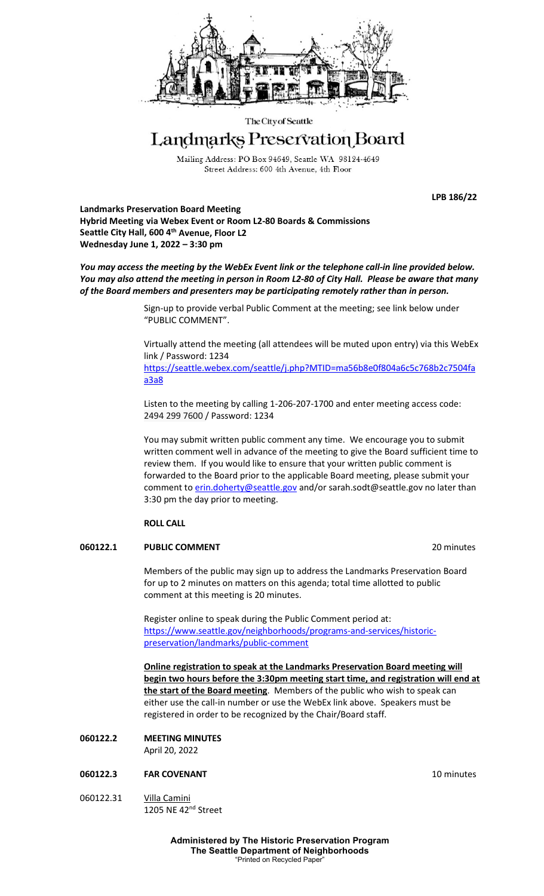

The City of Seattle

# Landmarks Preservation Board

Mailing Address: PO Box 94649, Seattle WA 98124-4649 Street Address: 600 4th Avenue, 4th Floor

**LPB 186/22**

**Landmarks Preservation Board Meeting Hybrid Meeting via Webex Event or Room L2-80 Boards & Commissions Seattle City Hall, 600 4th Avenue, Floor L2 Wednesday June 1, 2022 – 3:30 pm**

*You may access the meeting by the WebEx Event link or the telephone call-in line provided below. You may also attend the meeting in person in Room L2-80 of City Hall. Please be aware that many of the Board members and presenters may be participating remotely rather than in person.*

> Sign-up to provide verbal Public Comment at the meeting; see link below under "PUBLIC COMMENT".

Virtually attend the meeting (all attendees will be muted upon entry) via this WebEx link / Password: 1234

[https://seattle.webex.com/seattle/j.php?MTID=ma56b8e0f804a6c5c768b2c7504fa](https://seattle.webex.com/seattle/j.php?MTID=ma56b8e0f804a6c5c768b2c7504faa3a8) [a3a8](https://seattle.webex.com/seattle/j.php?MTID=ma56b8e0f804a6c5c768b2c7504faa3a8)

Listen to the meeting by calling 1-206-207-1700 and enter meeting access code: 2494 299 7600 / Password: 1234

You may submit written public comment any time. We encourage you to submit written comment well in advance of the meeting to give the Board sufficient time to review them. If you would like to ensure that your written public comment is forwarded to the Board prior to the applicable Board meeting, please submit your comment t[o erin.doherty@seattle.gov](mailto:erin.doherty@seattle.gov) and/or [sarah.sodt@seattle.gov](mailto:sarah.sodt@seattle.gov) no later than 3:30 pm the day prior to meeting.

# **ROLL CALL**

# **060122.1 PUBLIC COMMENT** 20 minutes

Members of the public may sign up to address the Landmarks Preservation Board for up to 2 minutes on matters on this agenda; total time allotted to public comment at this meeting is 20 minutes.

Register online to speak during the Public Comment period at: [https://www.seattle.gov/neighborhoods/programs-and-services/historic](https://www.seattle.gov/neighborhoods/programs-and-services/historic-preservation/landmarks/public-comment)[preservation/landmarks/public-comment](https://www.seattle.gov/neighborhoods/programs-and-services/historic-preservation/landmarks/public-comment)

**Online registration to speak at the Landmarks Preservation Board meeting will begin two hours before the 3:30pm meeting start time, and registration will end at the start of the Board meeting**. Members of the public who wish to speak can either use the call-in number or use the WebEx link above. Speakers must be registered in order to be recognized by the Chair/Board staff.

# **060122.2 MEETING MINUTES**

April 20, 2022

# **060122.3 FAR COVENANT 10 minutes**

060122.31 Villa Camini 1205 NE 42<sup>nd</sup> Street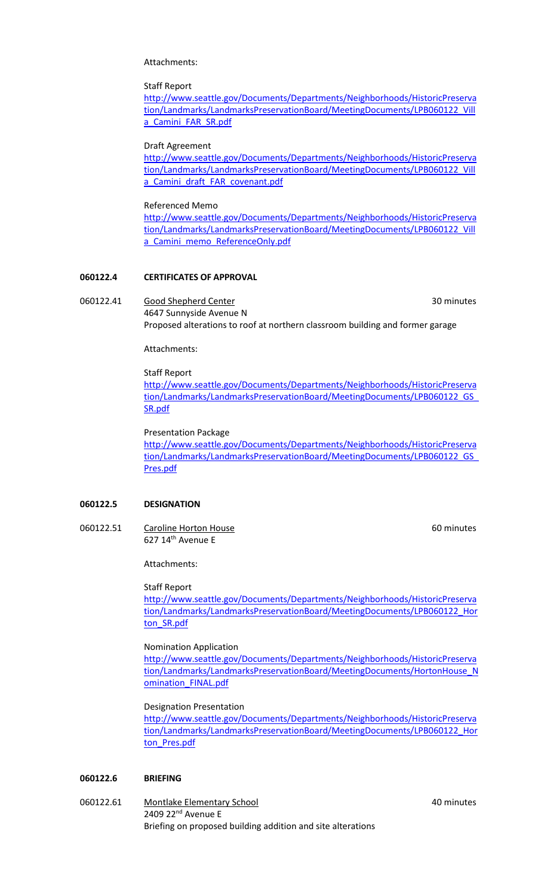Attachments:

#### Staff Report

[http://www.seattle.gov/Documents/Departments/Neighborhoods/HistoricPreserva](http://www.seattle.gov/Documents/Departments/Neighborhoods/HistoricPreservation/Landmarks/LandmarksPreservationBoard/MeetingDocuments/LPB060122_Villa_Camini_FAR_SR.pdf) [tion/Landmarks/LandmarksPreservationBoard/MeetingDocuments/LPB060122\\_Vill](http://www.seattle.gov/Documents/Departments/Neighborhoods/HistoricPreservation/Landmarks/LandmarksPreservationBoard/MeetingDocuments/LPB060122_Villa_Camini_FAR_SR.pdf) a Camini FAR SR.pdf

#### Draft Agreement

[http://www.seattle.gov/Documents/Departments/Neighborhoods/HistoricPreserva](http://www.seattle.gov/Documents/Departments/Neighborhoods/HistoricPreservation/Landmarks/LandmarksPreservationBoard/MeetingDocuments/LPB060122_Villa_Camini_draft_FAR_covenant.pdf) [tion/Landmarks/LandmarksPreservationBoard/MeetingDocuments/LPB060122\\_Vill](http://www.seattle.gov/Documents/Departments/Neighborhoods/HistoricPreservation/Landmarks/LandmarksPreservationBoard/MeetingDocuments/LPB060122_Villa_Camini_draft_FAR_covenant.pdf) [a\\_Camini\\_draft\\_FAR\\_covenant.pdf](http://www.seattle.gov/Documents/Departments/Neighborhoods/HistoricPreservation/Landmarks/LandmarksPreservationBoard/MeetingDocuments/LPB060122_Villa_Camini_draft_FAR_covenant.pdf)

#### Referenced Memo

[http://www.seattle.gov/Documents/Departments/Neighborhoods/HistoricPreserva](http://www.seattle.gov/Documents/Departments/Neighborhoods/HistoricPreservation/Landmarks/LandmarksPreservationBoard/MeetingDocuments/LPB060122_Villa_Camini_memo_ReferenceOnly.pdf) [tion/Landmarks/LandmarksPreservationBoard/MeetingDocuments/LPB060122\\_Vill](http://www.seattle.gov/Documents/Departments/Neighborhoods/HistoricPreservation/Landmarks/LandmarksPreservationBoard/MeetingDocuments/LPB060122_Villa_Camini_memo_ReferenceOnly.pdf) a Camini memo ReferenceOnly.pdf

# **060122.4 CERTIFICATES OF APPROVAL**

060122.41 Good Shepherd Center 30 minutes 4647 Sunnyside Avenue N Proposed alterations to roof at northern classroom building and former garage

Attachments:

#### Staff Report

[http://www.seattle.gov/Documents/Departments/Neighborhoods/HistoricPreserva](http://www.seattle.gov/Documents/Departments/Neighborhoods/HistoricPreservation/Landmarks/LandmarksPreservationBoard/MeetingDocuments/LPB060122_GS_SR.pdf) [tion/Landmarks/LandmarksPreservationBoard/MeetingDocuments/LPB060122\\_GS\\_](http://www.seattle.gov/Documents/Departments/Neighborhoods/HistoricPreservation/Landmarks/LandmarksPreservationBoard/MeetingDocuments/LPB060122_GS_SR.pdf) [SR.pdf](http://www.seattle.gov/Documents/Departments/Neighborhoods/HistoricPreservation/Landmarks/LandmarksPreservationBoard/MeetingDocuments/LPB060122_GS_SR.pdf)

#### Presentation Package

[http://www.seattle.gov/Documents/Departments/Neighborhoods/HistoricPreserva](http://www.seattle.gov/Documents/Departments/Neighborhoods/HistoricPreservation/Landmarks/LandmarksPreservationBoard/MeetingDocuments/LPB060122_GS_Pres.pdf) [tion/Landmarks/LandmarksPreservationBoard/MeetingDocuments/LPB060122\\_GS\\_](http://www.seattle.gov/Documents/Departments/Neighborhoods/HistoricPreservation/Landmarks/LandmarksPreservationBoard/MeetingDocuments/LPB060122_GS_Pres.pdf) [Pres.pdf](http://www.seattle.gov/Documents/Departments/Neighborhoods/HistoricPreservation/Landmarks/LandmarksPreservationBoard/MeetingDocuments/LPB060122_GS_Pres.pdf)

# **060122.5 DESIGNATION**

060122.51 Caroline Horton House 60 minutes 60 minutes 627 14<sup>th</sup> Avenue E

Attachments:

#### Staff Report

[http://www.seattle.gov/Documents/Departments/Neighborhoods/HistoricPreserva](http://www.seattle.gov/Documents/Departments/Neighborhoods/HistoricPreservation/Landmarks/LandmarksPreservationBoard/MeetingDocuments/LPB060122_Horton_SR.pdf) [tion/Landmarks/LandmarksPreservationBoard/MeetingDocuments/LPB060122\\_Hor](http://www.seattle.gov/Documents/Departments/Neighborhoods/HistoricPreservation/Landmarks/LandmarksPreservationBoard/MeetingDocuments/LPB060122_Horton_SR.pdf) [ton\\_SR.pdf](http://www.seattle.gov/Documents/Departments/Neighborhoods/HistoricPreservation/Landmarks/LandmarksPreservationBoard/MeetingDocuments/LPB060122_Horton_SR.pdf)

# Nomination Application

[http://www.seattle.gov/Documents/Departments/Neighborhoods/HistoricPreserva](http://www.seattle.gov/Documents/Departments/Neighborhoods/HistoricPreservation/Landmarks/LandmarksPreservationBoard/MeetingDocuments/HortonHouse_Nomination_FINAL.pdf) [tion/Landmarks/LandmarksPreservationBoard/MeetingDocuments/HortonHouse\\_N](http://www.seattle.gov/Documents/Departments/Neighborhoods/HistoricPreservation/Landmarks/LandmarksPreservationBoard/MeetingDocuments/HortonHouse_Nomination_FINAL.pdf) omination FINAL.pdf

#### Designation Presentation

[http://www.seattle.gov/Documents/Departments/Neighborhoods/HistoricPreserva](http://www.seattle.gov/Documents/Departments/Neighborhoods/HistoricPreservation/Landmarks/LandmarksPreservationBoard/MeetingDocuments/LPB060122_Horton_Pres.pdf) [tion/Landmarks/LandmarksPreservationBoard/MeetingDocuments/LPB060122\\_Hor](http://www.seattle.gov/Documents/Departments/Neighborhoods/HistoricPreservation/Landmarks/LandmarksPreservationBoard/MeetingDocuments/LPB060122_Horton_Pres.pdf) [ton\\_Pres.pdf](http://www.seattle.gov/Documents/Departments/Neighborhoods/HistoricPreservation/Landmarks/LandmarksPreservationBoard/MeetingDocuments/LPB060122_Horton_Pres.pdf)

#### **060122.6 BRIEFING**

060122.61 Montlake Elementary School 40 minutes 2409 22<sup>nd</sup> Avenue E Briefing on proposed building addition and site alterations